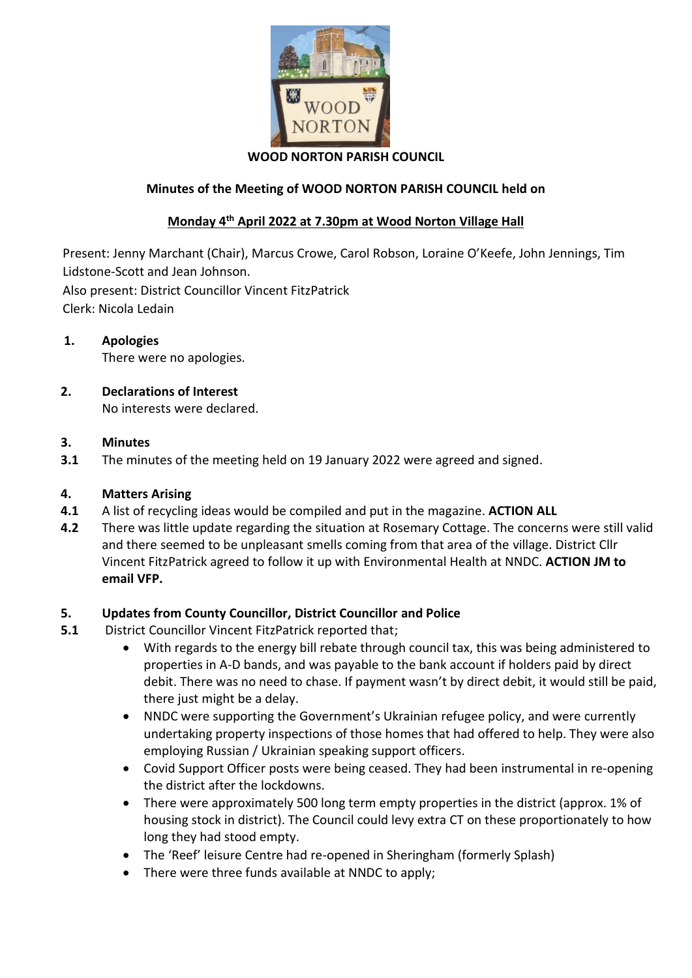

### **WOOD NORTON PARISH COUNCIL**

## **Minutes of the Meeting of WOOD NORTON PARISH COUNCIL held on**

# **Monday 4 th April 2022 at 7.30pm at Wood Norton Village Hall**

Present: Jenny Marchant (Chair), Marcus Crowe, Carol Robson, Loraine O'Keefe, John Jennings, Tim Lidstone-Scott and Jean Johnson.

Also present: District Councillor Vincent FitzPatrick Clerk: Nicola Ledain

- **1. Apologies** There were no apologies.
- **2. Declarations of Interest**

No interests were declared.

### **3. Minutes**

**3.1** The minutes of the meeting held on 19 January 2022 were agreed and signed.

### **4. Matters Arising**

- **4.1** A list of recycling ideas would be compiled and put in the magazine. **ACTION ALL**
- **4.2** There was little update regarding the situation at Rosemary Cottage. The concerns were still valid and there seemed to be unpleasant smells coming from that area of the village. District Cllr Vincent FitzPatrick agreed to follow it up with Environmental Health at NNDC. **ACTION JM to email VFP.**

### **5. Updates from County Councillor, District Councillor and Police**

- **5.1** District Councillor Vincent FitzPatrick reported that;
	- With regards to the energy bill rebate through council tax, this was being administered to properties in A-D bands, and was payable to the bank account if holders paid by direct debit. There was no need to chase. If payment wasn't by direct debit, it would still be paid, there just might be a delay.
	- NNDC were supporting the Government's Ukrainian refugee policy, and were currently undertaking property inspections of those homes that had offered to help. They were also employing Russian / Ukrainian speaking support officers.
	- Covid Support Officer posts were being ceased. They had been instrumental in re-opening the district after the lockdowns.
	- There were approximately 500 long term empty properties in the district (approx. 1% of housing stock in district). The Council could levy extra CT on these proportionately to how long they had stood empty.
	- The 'Reef' leisure Centre had re-opened in Sheringham (formerly Splash)
	- There were three funds available at NNDC to apply;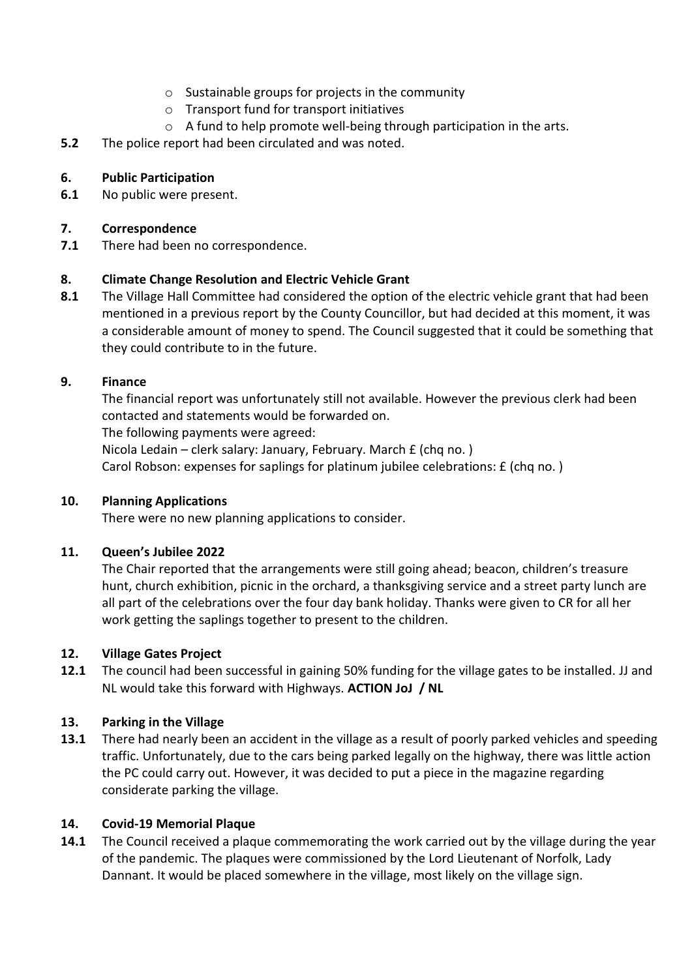- o Sustainable groups for projects in the community
- o Transport fund for transport initiatives
- o A fund to help promote well-being through participation in the arts.
- **5.2** The police report had been circulated and was noted.

### **6. Public Participation**

**6.1** No public were present.

### **7. Correspondence**

**7.1** There had been no correspondence.

### **8. Climate Change Resolution and Electric Vehicle Grant**

**8.1** The Village Hall Committee had considered the option of the electric vehicle grant that had been mentioned in a previous report by the County Councillor, but had decided at this moment, it was a considerable amount of money to spend. The Council suggested that it could be something that they could contribute to in the future.

### **9. Finance**

The financial report was unfortunately still not available. However the previous clerk had been contacted and statements would be forwarded on.

The following payments were agreed:

Nicola Ledain – clerk salary: January, February. March £ (chq no. ) Carol Robson: expenses for saplings for platinum jubilee celebrations: £ (chq no. )

#### **10. Planning Applications**

There were no new planning applications to consider.

### **11. Queen's Jubilee 2022**

The Chair reported that the arrangements were still going ahead; beacon, children's treasure hunt, church exhibition, picnic in the orchard, a thanksgiving service and a street party lunch are all part of the celebrations over the four day bank holiday. Thanks were given to CR for all her work getting the saplings together to present to the children.

### **12. Village Gates Project**

**12.1** The council had been successful in gaining 50% funding for the village gates to be installed. JJ and NL would take this forward with Highways. **ACTION JoJ / NL**

### **13. Parking in the Village**

**13.1** There had nearly been an accident in the village as a result of poorly parked vehicles and speeding traffic. Unfortunately, due to the cars being parked legally on the highway, there was little action the PC could carry out. However, it was decided to put a piece in the magazine regarding considerate parking the village.

### **14. Covid-19 Memorial Plaque**

**14.1** The Council received a plaque commemorating the work carried out by the village during the year of the pandemic. The plaques were commissioned by the Lord Lieutenant of Norfolk, Lady Dannant. It would be placed somewhere in the village, most likely on the village sign.